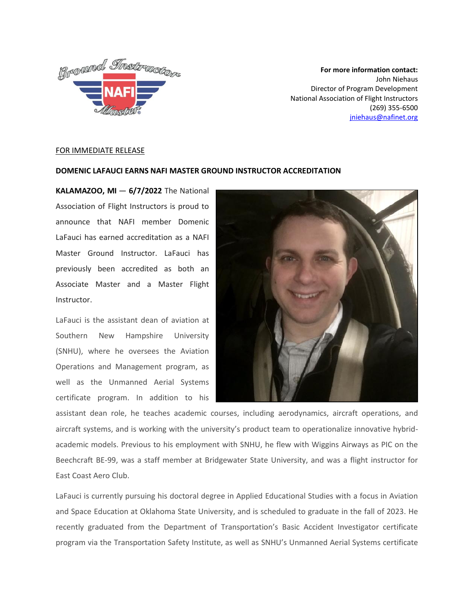

**For more information contact:** John Niehaus Director of Program Development National Association of Flight Instructors (269) 355-6500 [jniehaus@nafinet.org](mailto:jniehaus@nafinet.org)

## FOR IMMEDIATE RELEASE

## **DOMENIC LAFAUCI EARNS NAFI MASTER GROUND INSTRUCTOR ACCREDITATION**

**KALAMAZOO, MI** — **6/7/2022** The National Association of Flight Instructors is proud to announce that NAFI member Domenic LaFauci has earned accreditation as a NAFI Master Ground Instructor. LaFauci has previously been accredited as both an Associate Master and a Master Flight Instructor.

LaFauci is the assistant dean of aviation at Southern New Hampshire University (SNHU), where he oversees the Aviation Operations and Management program, as well as the Unmanned Aerial Systems certificate program. In addition to his



assistant dean role, he teaches academic courses, including aerodynamics, aircraft operations, and aircraft systems, and is working with the university's product team to operationalize innovative hybridacademic models. Previous to his employment with SNHU, he flew with Wiggins Airways as PIC on the Beechcraft BE-99, was a staff member at Bridgewater State University, and was a flight instructor for East Coast Aero Club.

LaFauci is currently pursuing his doctoral degree in Applied Educational Studies with a focus in Aviation and Space Education at Oklahoma State University, and is scheduled to graduate in the fall of 2023. He recently graduated from the Department of Transportation's Basic Accident Investigator certificate program via the Transportation Safety Institute, as well as SNHU's Unmanned Aerial Systems certificate